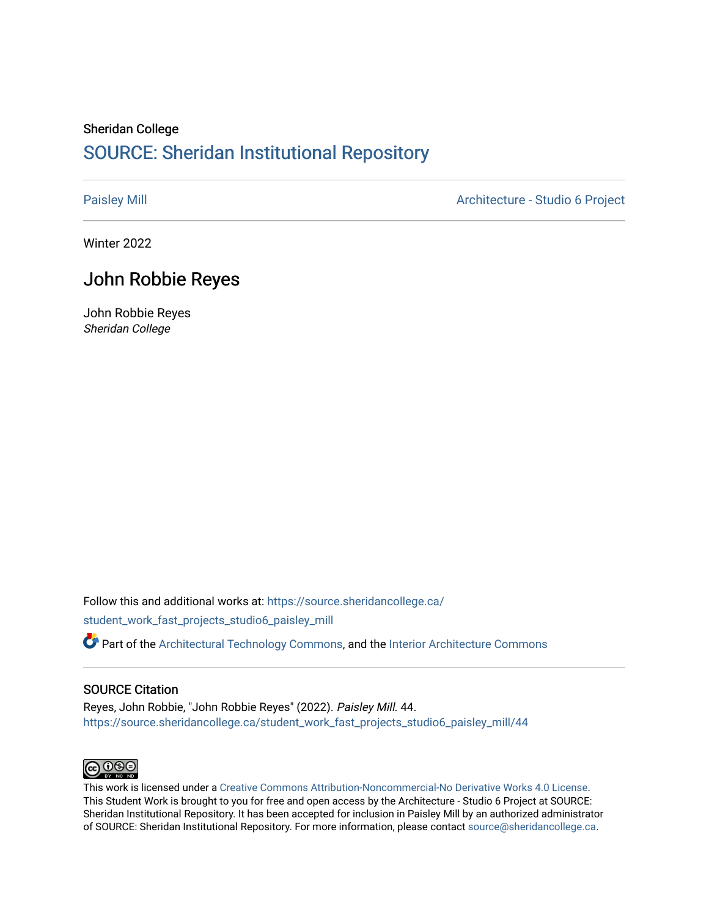# Sheridan College [SOURCE: Sheridan Institutional Repository](https://source.sheridancollege.ca/)

[Paisley Mill](https://source.sheridancollege.ca/student_work_fast_projects_studio6_paisley_mill) **Architecture - Studio 6 Project** 

Winter 2022

# John Robbie Reyes

John Robbie Reyes Sheridan College

Follow this and additional works at: [https://source.sheridancollege.ca/](https://source.sheridancollege.ca/student_work_fast_projects_studio6_paisley_mill?utm_source=source.sheridancollege.ca%2Fstudent_work_fast_projects_studio6_paisley_mill%2F44&utm_medium=PDF&utm_campaign=PDFCoverPages) [student\\_work\\_fast\\_projects\\_studio6\\_paisley\\_mill](https://source.sheridancollege.ca/student_work_fast_projects_studio6_paisley_mill?utm_source=source.sheridancollege.ca%2Fstudent_work_fast_projects_studio6_paisley_mill%2F44&utm_medium=PDF&utm_campaign=PDFCoverPages)

Part of the [Architectural Technology Commons](https://network.bepress.com/hgg/discipline/1194?utm_source=source.sheridancollege.ca%2Fstudent_work_fast_projects_studio6_paisley_mill%2F44&utm_medium=PDF&utm_campaign=PDFCoverPages), and the [Interior Architecture Commons](https://network.bepress.com/hgg/discipline/778?utm_source=source.sheridancollege.ca%2Fstudent_work_fast_projects_studio6_paisley_mill%2F44&utm_medium=PDF&utm_campaign=PDFCoverPages)

## SOURCE Citation

Reyes, John Robbie, "John Robbie Reyes" (2022). Paisley Mill. 44. [https://source.sheridancollege.ca/student\\_work\\_fast\\_projects\\_studio6\\_paisley\\_mill/44](https://source.sheridancollege.ca/student_work_fast_projects_studio6_paisley_mill/44?utm_source=source.sheridancollege.ca%2Fstudent_work_fast_projects_studio6_paisley_mill%2F44&utm_medium=PDF&utm_campaign=PDFCoverPages)



This work is licensed under a [Creative Commons Attribution-Noncommercial-No Derivative Works 4.0 License.](https://creativecommons.org/licenses/by-nc-nd/4.0/) This Student Work is brought to you for free and open access by the Architecture - Studio 6 Project at SOURCE: Sheridan Institutional Repository. It has been accepted for inclusion in Paisley Mill by an authorized administrator of SOURCE: Sheridan Institutional Repository. For more information, please contact [source@sheridancollege.ca.](mailto:source@sheridancollege.ca)